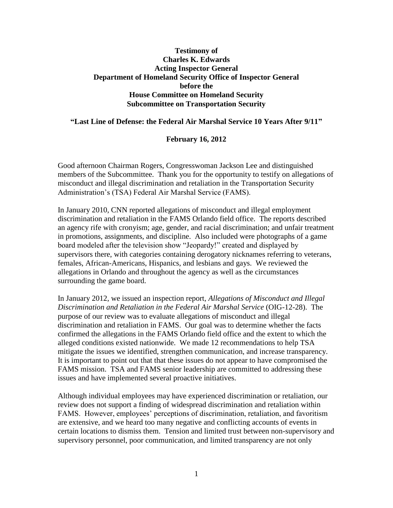## **Testimony of Charles K. Edwards Acting Inspector General Department of Homeland Security Office of Inspector General before the House Committee on Homeland Security Subcommittee on Transportation Security**

## **"Last Line of Defense: the Federal Air Marshal Service 10 Years After 9/11"**

## **February 16, 2012**

Good afternoon Chairman Rogers, Congresswoman Jackson Lee and distinguished members of the Subcommittee. Thank you for the opportunity to testify on allegations of misconduct and illegal discrimination and retaliation in the Transportation Security Administration's (TSA) Federal Air Marshal Service (FAMS).

In January 2010, CNN reported allegations of misconduct and illegal employment discrimination and retaliation in the FAMS Orlando field office. The reports described an agency rife with cronyism; age, gender, and racial discrimination; and unfair treatment in promotions, assignments, and discipline. Also included were photographs of a game board modeled after the television show "Jeopardy!" created and displayed by supervisors there, with categories containing derogatory nicknames referring to veterans, females, African-Americans, Hispanics, and lesbians and gays. We reviewed the allegations in Orlando and throughout the agency as well as the circumstances surrounding the game board.

In January 2012, we issued an inspection report, *Allegations of Misconduct and Illegal Discrimination and Retaliation in the Federal Air Marshal Service* (OIG-12-28). The purpose of our review was to evaluate allegations of misconduct and illegal discrimination and retaliation in FAMS. Our goal was to determine whether the facts confirmed the allegations in the FAMS Orlando field office and the extent to which the alleged conditions existed nationwide. We made 12 recommendations to help TSA mitigate the issues we identified, strengthen communication, and increase transparency. It is important to point out that that these issues do not appear to have compromised the FAMS mission. TSA and FAMS senior leadership are committed to addressing these issues and have implemented several proactive initiatives.

Although individual employees may have experienced discrimination or retaliation, our review does not support a finding of widespread discrimination and retaliation within FAMS. However, employees' perceptions of discrimination, retaliation, and favoritism are extensive, and we heard too many negative and conflicting accounts of events in certain locations to dismiss them. Tension and limited trust between non-supervisory and supervisory personnel, poor communication, and limited transparency are not only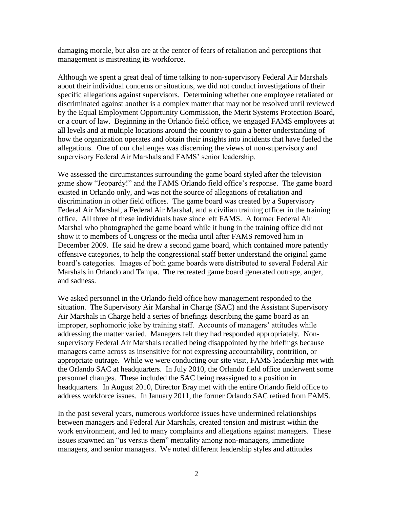damaging morale, but also are at the center of fears of retaliation and perceptions that management is mistreating its workforce.

Although we spent a great deal of time talking to non-supervisory Federal Air Marshals about their individual concerns or situations, we did not conduct investigations of their specific allegations against supervisors. Determining whether one employee retaliated or discriminated against another is a complex matter that may not be resolved until reviewed by the Equal Employment Opportunity Commission, the Merit Systems Protection Board, or a court of law. Beginning in the Orlando field office, we engaged FAMS employees at all levels and at multiple locations around the country to gain a better understanding of how the organization operates and obtain their insights into incidents that have fueled the allegations. One of our challenges was discerning the views of non-supervisory and supervisory Federal Air Marshals and FAMS' senior leadership.

We assessed the circumstances surrounding the game board styled after the television game show "Jeopardy!" and the FAMS Orlando field office's response. The game board existed in Orlando only, and was not the source of allegations of retaliation and discrimination in other field offices. The game board was created by a Supervisory Federal Air Marshal, a Federal Air Marshal, and a civilian training officer in the training office. All three of these individuals have since left FAMS. A former Federal Air Marshal who photographed the game board while it hung in the training office did not show it to members of Congress or the media until after FAMS removed him in December 2009. He said he drew a second game board, which contained more patently offensive categories, to help the congressional staff better understand the original game board's categories. Images of both game boards were distributed to several Federal Air Marshals in Orlando and Tampa. The recreated game board generated outrage, anger, and sadness.

We asked personnel in the Orlando field office how management responded to the situation. The Supervisory Air Marshal in Charge (SAC) and the Assistant Supervisory Air Marshals in Charge held a series of briefings describing the game board as an improper, sophomoric joke by training staff. Accounts of managers' attitudes while addressing the matter varied. Managers felt they had responded appropriately. Nonsupervisory Federal Air Marshals recalled being disappointed by the briefings because managers came across as insensitive for not expressing accountability, contrition, or appropriate outrage. While we were conducting our site visit, FAMS leadership met with the Orlando SAC at headquarters. In July 2010, the Orlando field office underwent some personnel changes. These included the SAC being reassigned to a position in headquarters. In August 2010, Director Bray met with the entire Orlando field office to address workforce issues. In January 2011, the former Orlando SAC retired from FAMS.

In the past several years, numerous workforce issues have undermined relationships between managers and Federal Air Marshals, created tension and mistrust within the work environment, and led to many complaints and allegations against managers. These issues spawned an "us versus them" mentality among non-managers, immediate managers, and senior managers. We noted different leadership styles and attitudes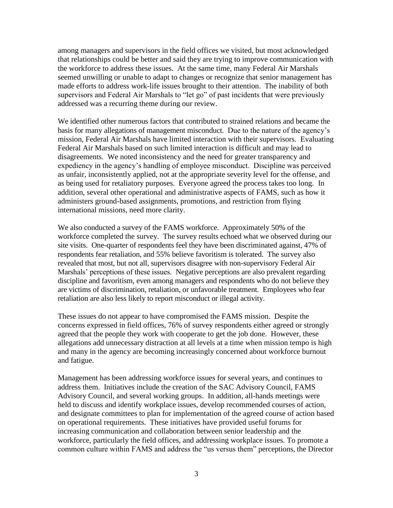among managers and supervisors in the field offices we visited, but most acknowledged that relationships could be better and said they are trying to improve communication with the workforce to address these issues. At the same time, many Federal Air Marshals seemed unwilling or unable to adapt to changes or recognize that senior management has made efforts to address work-life issues brought to their attention. The inability of both supervisors and Federal Air Marshals to "let go" of past incidents that were previously addressed was a recurring theme during our review.

We identified other numerous factors that contributed to strained relations and became the basis for many allegations of management misconduct. Due to the nature of the agency's mission, Federal Air Marshals have limited interaction with their supervisors. Evaluating Federal Air Marshals based on such limited interaction is difficult and may lead to disagreements. We noted inconsistency and the need for greater transparency and expediency in the agency's handling of employee misconduct. Discipline was perceived as unfair, inconsistently applied, not at the appropriate severity level for the offense, and as being used for retaliatory purposes. Everyone agreed the process takes too long. In addition, several other operational and administrative aspects of FAMS, such as how it administers ground-based assignments, promotions, and restriction from flying international missions, need more clarity.

We also conducted a survey of the FAMS workforce. Approximately 50% of the workforce completed the survey. The survey results echoed what we observed during our site visits. One-quarter of respondents feel they have been discriminated against, 47% of respondents fear retaliation, and 55% believe favoritism is tolerated. The survey also revealed that most, but not all, supervisors disagree with non-supervisory Federal Air Marshals' perceptions of these issues. Negative perceptions are also prevalent regarding discipline and favoritism, even among managers and respondents who do not believe they are victims of discrimination, retaliation, or unfavorable treatment. Employees who fear retaliation are also less likely to report misconduct or illegal activity.

These issues do not appear to have compromised the FAMS mission. Despite the concerns expressed in field offices, 76% of survey respondents either agreed or strongly agreed that the people they work with cooperate to get the job done. However, these allegations add unnecessary distraction at all levels at a time when mission tempo is high and many in the agency are becoming increasingly concerned about workforce burnout and fatigue.

Management has been addressing workforce issues for several years, and continues to address them. Initiatives include the creation of the SAC Advisory Council, FAMS Advisory Council, and several working groups. In addition, all-hands meetings were held to discuss and identify workplace issues, develop recommended courses of action, and designate committees to plan for implementation of the agreed course of action based on operational requirements. These initiatives have provided useful forums for increasing communication and collaboration between senior leadership and the workforce, particularly the field offices, and addressing workplace issues. To promote a common culture within FAMS and address the "us versus them" perceptions, the Director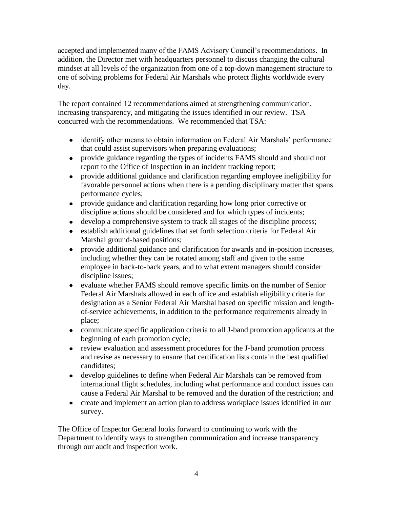accepted and implemented many of the FAMS Advisory Council's recommendations. In addition, the Director met with headquarters personnel to discuss changing the cultural mindset at all levels of the organization from one of a top-down management structure to one of solving problems for Federal Air Marshals who protect flights worldwide every day.

The report contained 12 recommendations aimed at strengthening communication, increasing transparency, and mitigating the issues identified in our review. TSA concurred with the recommendations. We recommended that TSA:

- identify other means to obtain information on Federal Air Marshals' performance that could assist supervisors when preparing evaluations;
- provide guidance regarding the types of incidents FAMS should and should not report to the Office of Inspection in an incident tracking report;
- provide additional guidance and clarification regarding employee ineligibility for favorable personnel actions when there is a pending disciplinary matter that spans performance cycles;
- provide guidance and clarification regarding how long prior corrective or discipline actions should be considered and for which types of incidents;
- develop a comprehensive system to track all stages of the discipline process;
- establish additional guidelines that set forth selection criteria for Federal Air Marshal ground-based positions;
- provide additional guidance and clarification for awards and in-position increases, including whether they can be rotated among staff and given to the same employee in back-to-back years, and to what extent managers should consider discipline issues;
- evaluate whether FAMS should remove specific limits on the number of Senior Federal Air Marshals allowed in each office and establish eligibility criteria for designation as a Senior Federal Air Marshal based on specific mission and lengthof-service achievements, in addition to the performance requirements already in place;
- communicate specific application criteria to all J-band promotion applicants at the beginning of each promotion cycle;
- review evaluation and assessment procedures for the J-band promotion process and revise as necessary to ensure that certification lists contain the best qualified candidates;
- develop guidelines to define when Federal Air Marshals can be removed from international flight schedules, including what performance and conduct issues can cause a Federal Air Marshal to be removed and the duration of the restriction; and
- create and implement an action plan to address workplace issues identified in our survey.

The Office of Inspector General looks forward to continuing to work with the Department to identify ways to strengthen communication and increase transparency through our audit and inspection work.